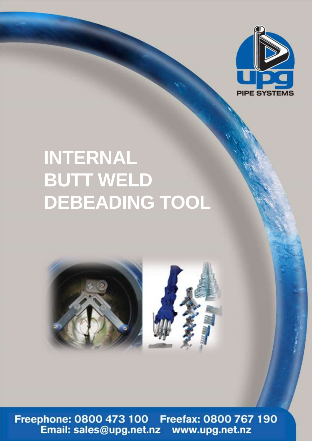

## **INTERNAL BUTT WELD DEBEADING TOOL**



Freephone: 0800 473 100 Freefax: 0800 767 190<br>Email: sales@upg.net.nz www.upg.net.nz